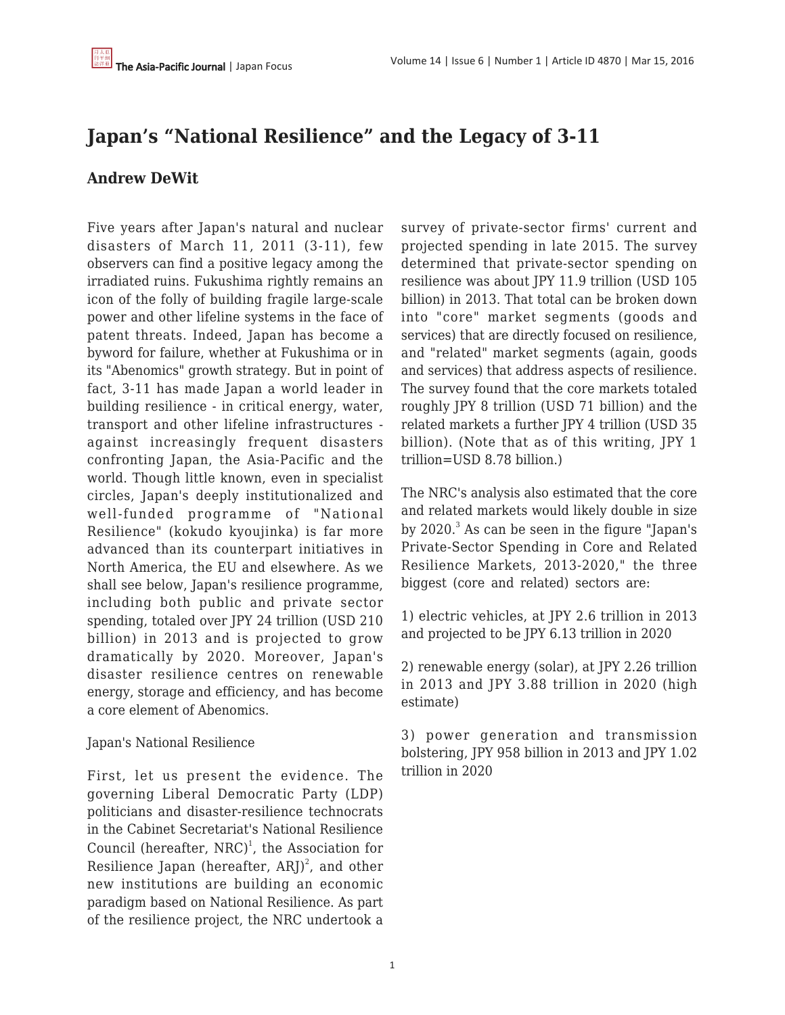# **Japan's "National Resilience" and the Legacy of 3-11**

### **Andrew DeWit**

Five years after Japan's natural and nuclear disasters of March 11, 2011 (3-11), few observers can find a positive legacy among the irradiated ruins. Fukushima rightly remains an icon of the folly of building fragile large-scale power and other lifeline systems in the face of patent threats. Indeed, Japan has become a byword for failure, whether at Fukushima or in its "Abenomics" growth strategy. But in point of fact, 3-11 has made Japan a world leader in building resilience - in critical energy, water, transport and other lifeline infrastructures against increasingly frequent disasters confronting Japan, the Asia-Pacific and the world. Though little known, even in specialist circles, Japan's deeply institutionalized and well-funded programme of "National Resilience" (kokudo kyoujinka) is far more advanced than its counterpart initiatives in North America, the EU and elsewhere. As we shall see below, Japan's resilience programme, including both public and private sector spending, totaled over JPY 24 trillion (USD 210 billion) in 2013 and is projected to grow dramatically by 2020. Moreover, Japan's disaster resilience centres on renewable energy, storage and efficiency, and has become a core element of Abenomics.

#### Japan's National Resilience

First, let us present the evidence. The governing Liberal Democratic Party (LDP) politicians and disaster-resilience technocrats in the Cabinet Secretariat's National Resilience Council (hereafter, NRC)<sup>1</sup>, the Association for Resilience Japan (hereafter, ARJ) $^2$ , and other new institutions are building an economic paradigm based on National Resilience. As part of the resilience project, the NRC undertook a survey of private-sector firms' current and projected spending in late 2015. The survey determined that private-sector spending on resilience was about JPY 11.9 trillion (USD 105 billion) in 2013. That total can be broken down into "core" market segments (goods and services) that are directly focused on resilience, and "related" market segments (again, goods and services) that address aspects of resilience. The survey found that the core markets totaled roughly JPY 8 trillion (USD 71 billion) and the related markets a further JPY 4 trillion (USD 35 billion). (Note that as of this writing, JPY 1 trillion=USD 8.78 billion.)

The NRC's analysis also estimated that the core and related markets would likely double in size by 2020. $^3$  As can be seen in the figure "Japan's Private-Sector Spending in Core and Related Resilience Markets, 2013-2020," the three biggest (core and related) sectors are:

1) electric vehicles, at JPY 2.6 trillion in 2013 and projected to be JPY 6.13 trillion in 2020

2) renewable energy (solar), at JPY 2.26 trillion in 2013 and JPY 3.88 trillion in 2020 (high estimate)

3) power generation and transmission bolstering, JPY 958 billion in 2013 and JPY 1.02 trillion in 2020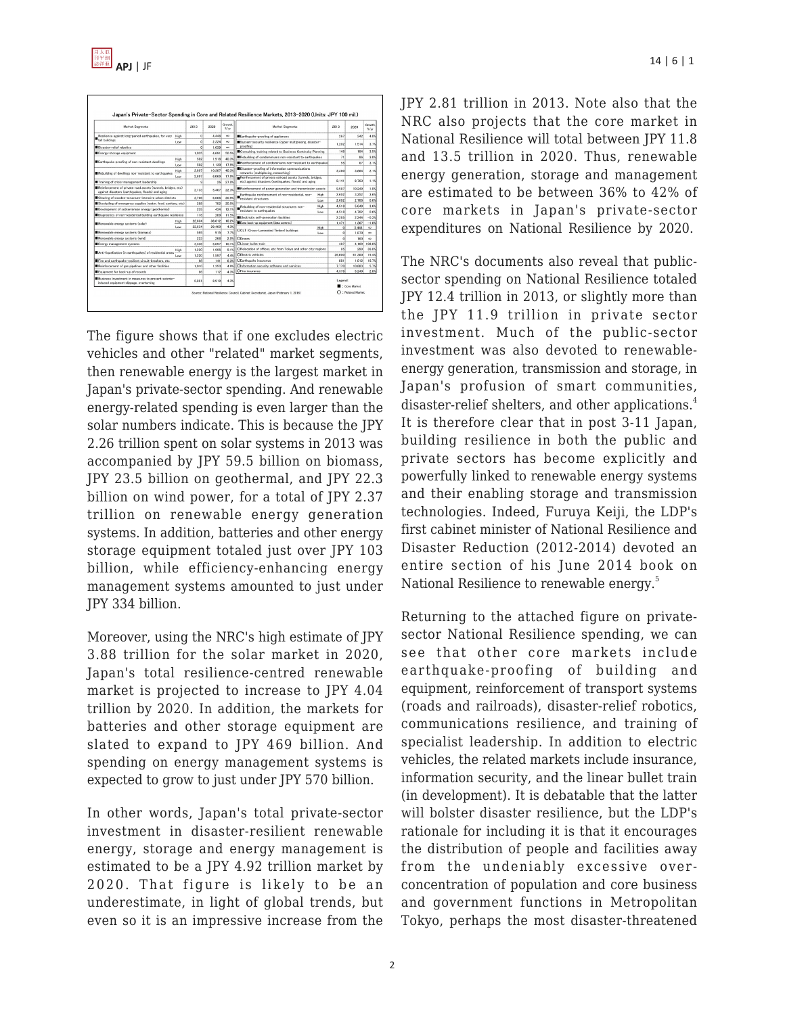



The figure shows that if one excludes electric vehicles and other "related" market segments, then renewable energy is the largest market in Japan's private-sector spending. And renewable energy-related spending is even larger than the solar numbers indicate. This is because the JPY 2.26 trillion spent on solar systems in 2013 was accompanied by JPY 59.5 billion on biomass, JPY 23.5 billion on geothermal, and JPY 22.3 billion on wind power, for a total of JPY 2.37 trillion on renewable energy generation systems. In addition, batteries and other energy storage equipment totaled just over JPY 103 billion, while efficiency-enhancing energy management systems amounted to just under JPY 334 billion.

Moreover, using the NRC's high estimate of JPY 3.88 trillion for the solar market in 2020, Japan's total resilience-centred renewable market is projected to increase to JPY 4.04 trillion by 2020. In addition, the markets for batteries and other storage equipment are slated to expand to JPY 469 billion. And spending on energy management systems is expected to grow to just under JPY 570 billion.

In other words, Japan's total private-sector investment in disaster-resilient renewable energy, storage and energy management is estimated to be a JPY 4.92 trillion market by 2020. That figure is likely to be an underestimate, in light of global trends, but even so it is an impressive increase from the JPY 2.81 trillion in 2013. Note also that the NRC also projects that the core market in National Resilience will total between JPY 11.8 and 13.5 trillion in 2020. Thus, renewable energy generation, storage and management are estimated to be between 36% to 42% of core markets in Japan's private-sector expenditures on National Resilience by 2020.

The NRC's documents also reveal that publicsector spending on National Resilience totaled JPY 12.4 trillion in 2013, or slightly more than the JPY 11.9 trillion in private sector investment. Much of the public-sector investment was also devoted to renewableenergy generation, transmission and storage, in Japan's profusion of smart communities, disaster-relief shelters, and other applications.<sup>4</sup> It is therefore clear that in post 3-11 Japan, building resilience in both the public and private sectors has become explicitly and powerfully linked to renewable energy systems and their enabling storage and transmission technologies. Indeed, Furuya Keiji, the LDP's first cabinet minister of National Resilience and Disaster Reduction (2012-2014) devoted an entire section of his June 2014 book on National Resilience to renewable energy.<sup>5</sup>

Returning to the attached figure on privatesector National Resilience spending, we can see that other core markets include earthquake-proofing of building and equipment, reinforcement of transport systems (roads and railroads), disaster-relief robotics, communications resilience, and training of specialist leadership. In addition to electric vehicles, the related markets include insurance, information security, and the linear bullet train (in development). It is debatable that the latter will bolster disaster resilience, but the LDP's rationale for including it is that it encourages the distribution of people and facilities away from the undeniably excessive overconcentration of population and core business and government functions in Metropolitan Tokyo, perhaps the most disaster-threatened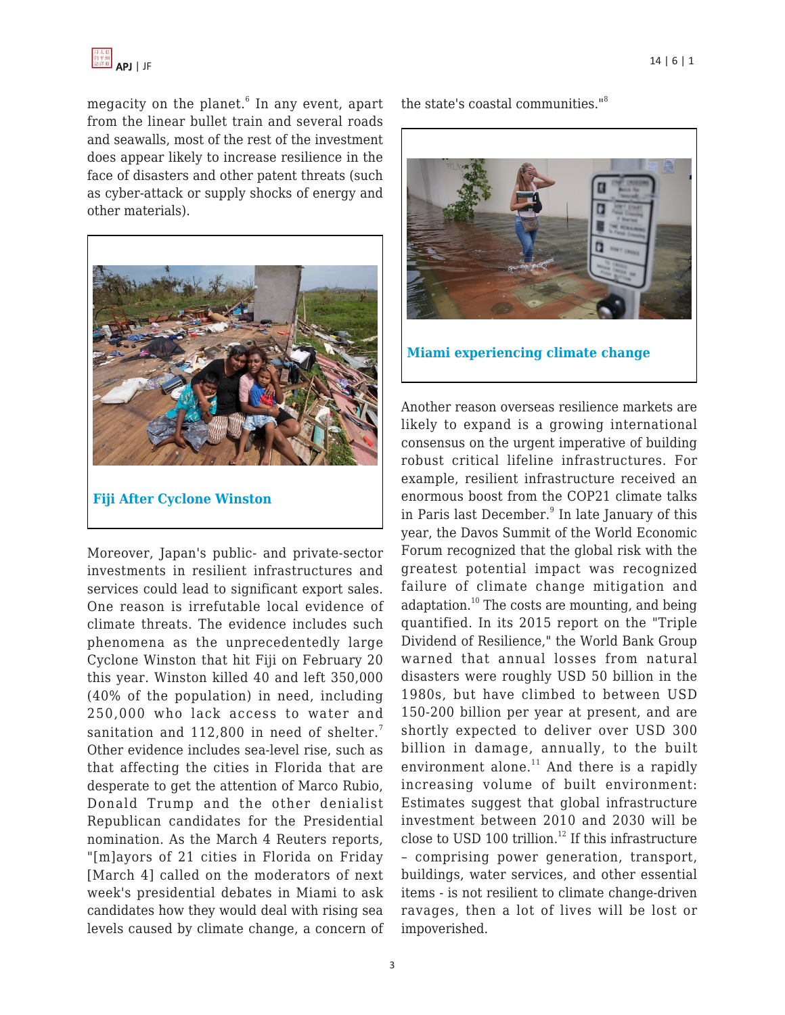

megacity on the planet. $^{\rm 6}$  In any event, apart from the linear bullet train and several roads and seawalls, most of the rest of the investment does appear likely to increase resilience in the face of disasters and other patent threats (such as cyber-attack or supply shocks of energy and other materials).



**[Fiji After Cyclone Winston](http://www.huffingtonpost.com/entry/cyclone-winson-fiji_us_56cebbefe4b0871f60ea2722)**

Moreover, Japan's public- and private-sector investments in resilient infrastructures and services could lead to significant export sales. One reason is irrefutable local evidence of climate threats. The evidence includes such phenomena as the unprecedentedly large Cyclone Winston that hit Fiji on February 20 this year. Winston killed 40 and left 350,000 (40% of the population) in need, including 250,000 who lack access to water and sanitation and 112,800 in need of shelter.<sup>7</sup> Other evidence includes sea-level rise, such as that affecting the cities in Florida that are desperate to get the attention of Marco Rubio, Donald Trump and the other denialist Republican candidates for the Presidential nomination. As the March 4 Reuters reports, "[m]ayors of 21 cities in Florida on Friday [March 4] called on the moderators of next week's presidential debates in Miami to ask candidates how they would deal with rising sea levels caused by climate change, a concern of the state's coastal communities."<sup>8</sup>



**[Miami experiencing climate change](http://fusion.net/story/212775/interview-with-miami-beach-chief-resiliency-officer/)**

Another reason overseas resilience markets are likely to expand is a growing international consensus on the urgent imperative of building robust critical lifeline infrastructures. For example, resilient infrastructure received an enormous boost from the COP21 climate talks in Paris last December.<sup>9</sup> In late January of this year, the Davos Summit of the World Economic Forum recognized that the global risk with the greatest potential impact was recognized failure of climate change mitigation and adaptation. $^{10}$  The costs are mounting, and being quantified. In its 2015 report on the "Triple Dividend of Resilience," the World Bank Group warned that annual losses from natural disasters were roughly USD 50 billion in the 1980s, but have climbed to between USD 150-200 billion per year at present, and are shortly expected to deliver over USD 300 billion in damage, annually, to the built environment alone. $11$  And there is a rapidly increasing volume of built environment: Estimates suggest that global infrastructure investment between 2010 and 2030 will be close to USD 100 trillion.<sup>12</sup> If this infrastructure – comprising power generation, transport, buildings, water services, and other essential items - is not resilient to climate change-driven ravages, then a lot of lives will be lost or impoverished.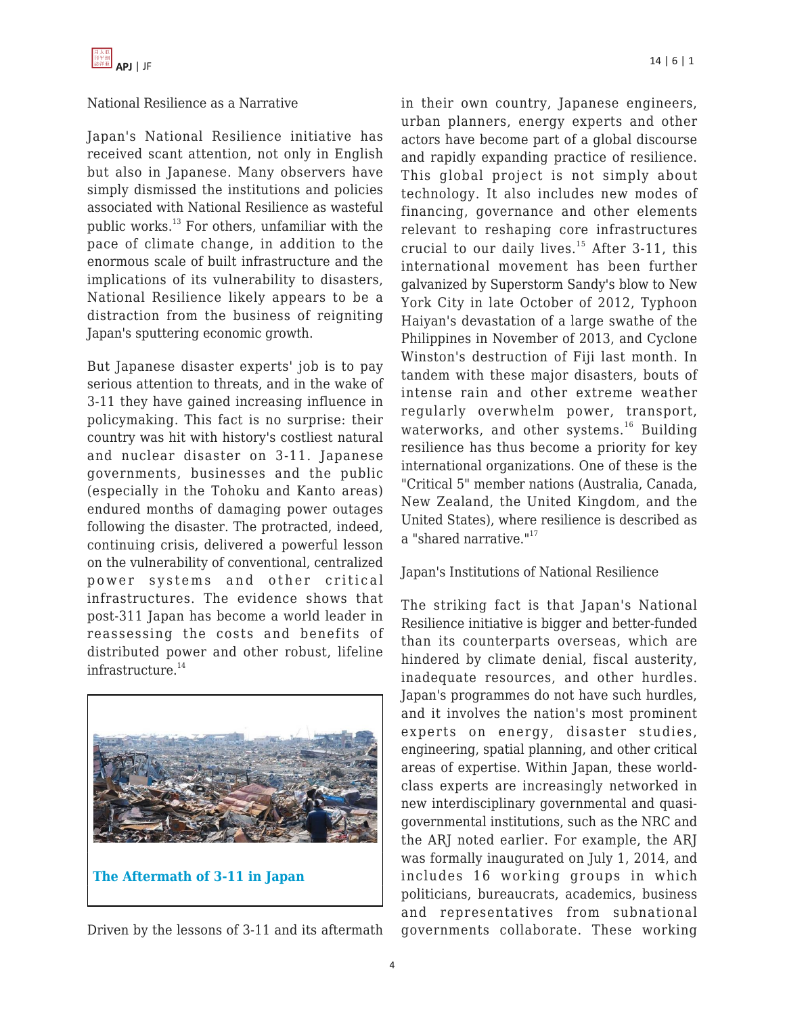#### National Resilience as a Narrative

Japan's National Resilience initiative has received scant attention, not only in English but also in Japanese. Many observers have simply dismissed the institutions and policies associated with National Resilience as wasteful public works. $^{13}$  For others, unfamiliar with the pace of climate change, in addition to the enormous scale of built infrastructure and the implications of its vulnerability to disasters, National Resilience likely appears to be a distraction from the business of reigniting Japan's sputtering economic growth.

But Japanese disaster experts' job is to pay serious attention to threats, and in the wake of 3-11 they have gained increasing influence in policymaking. This fact is no surprise: their country was hit with history's costliest natural and nuclear disaster on 3-11. Japanese governments, businesses and the public (especially in the Tohoku and Kanto areas) endured months of damaging power outages following the disaster. The protracted, indeed, continuing crisis, delivered a powerful lesson on the vulnerability of conventional, centralized power systems and other critical infrastructures. The evidence shows that post-311 Japan has become a world leader in reassessing the costs and benefits of distributed power and other robust, lifeline infrastructure.<sup>14</sup>



Driven by the lessons of 3-11 and its aftermath

in their own country, Japanese engineers, urban planners, energy experts and other actors have become part of a global discourse and rapidly expanding practice of resilience. This global project is not simply about technology. It also includes new modes of financing, governance and other elements relevant to reshaping core infrastructures crucial to our daily lives.<sup>15</sup> After 3-11, this international movement has been further galvanized by Superstorm Sandy's blow to New York City in late October of 2012, Typhoon Haiyan's devastation of a large swathe of the Philippines in November of 2013, and Cyclone Winston's destruction of Fiji last month. In tandem with these major disasters, bouts of intense rain and other extreme weather regularly overwhelm power, transport, waterworks, and other systems.<sup>16</sup> Building resilience has thus become a priority for key international organizations. One of these is the "Critical 5" member nations (Australia, Canada, New Zealand, the United Kingdom, and the United States), where resilience is described as a "shared narrative."<sup>17</sup>

#### Japan's Institutions of National Resilience

The striking fact is that Japan's National Resilience initiative is bigger and better-funded than its counterparts overseas, which are hindered by climate denial, fiscal austerity, inadequate resources, and other hurdles. Japan's programmes do not have such hurdles, and it involves the nation's most prominent experts on energy, disaster studies, engineering, spatial planning, and other critical areas of expertise. Within Japan, these worldclass experts are increasingly networked in new interdisciplinary governmental and quasigovernmental institutions, such as the NRC and the ARJ noted earlier. For example, the ARJ was formally inaugurated on July 1, 2014, and includes 16 working groups in which politicians, bureaucrats, academics, business and representatives from subnational governments collaborate. These working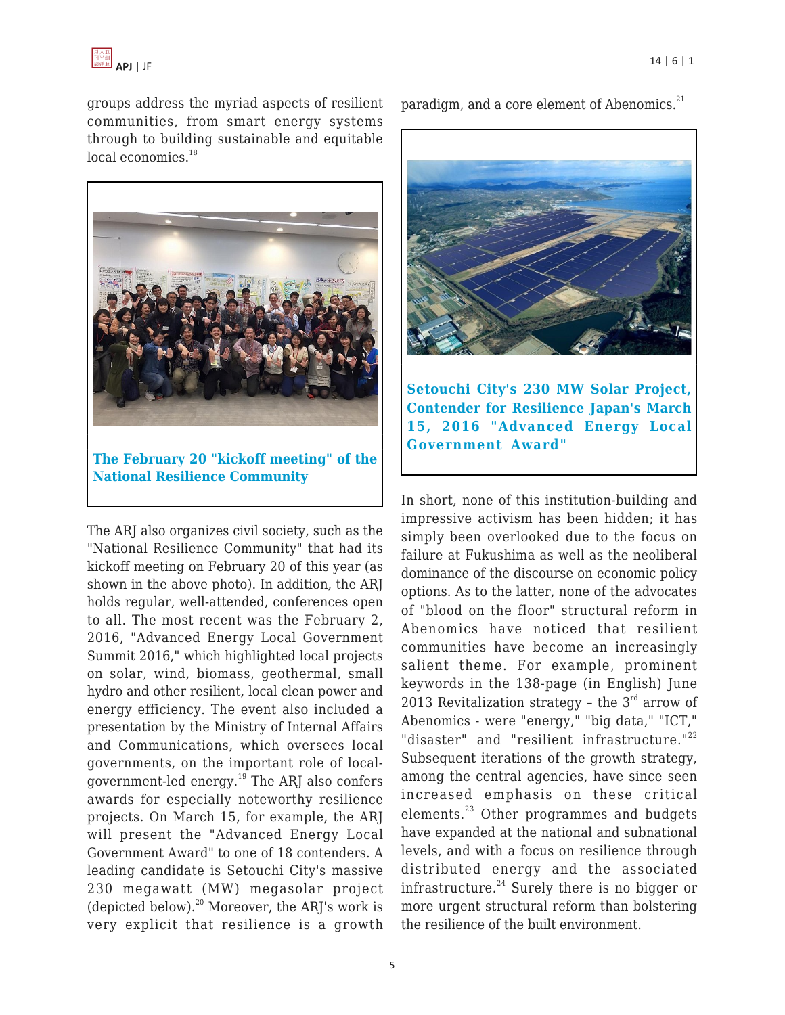

groups address the myriad aspects of resilient communities, from smart energy systems through to building sustainable and equitable  $local$  economies. $^{18}$ 



**[The February 20 "kickoff meeting" of the](http://www.risktaisaku.com/sys/news/?p=1314) [National Resilience Community](http://www.risktaisaku.com/sys/news/?p=1314)**

The ARJ also organizes civil society, such as the "National Resilience Community" that had its kickoff meeting on February 20 of this year (as shown in the above photo). In addition, the ARJ holds regular, well-attended, conferences open to all. The most recent was the February 2, 2016, "Advanced Energy Local Government Summit 2016," which highlighted local projects on solar, wind, biomass, geothermal, small hydro and other resilient, local clean power and energy efficiency. The event also included a presentation by the Ministry of Internal Affairs and Communications, which oversees local governments, on the important role of localgovernment-led energy.<sup>19</sup> The ARJ also confers awards for especially noteworthy resilience projects. On March 15, for example, the ARJ will present the "Advanced Energy Local Government Award" to one of 18 contenders. A leading candidate is Setouchi City's massive 230 megawatt (MW) megasolar project (depicted below). $^{20}$  Moreover, the ARJ's work is very explicit that resilience is a growth paradigm, and a core element of Abenomics.<sup>21</sup>



**[Setouchi City's 230 MW Solar Project,](http://prtimes.jp/main/html/rd/p/000000004.000011381.html) [Contender for Resilience Japan's March](http://prtimes.jp/main/html/rd/p/000000004.000011381.html) [15, 2016 "Advanced Energy Local](http://prtimes.jp/main/html/rd/p/000000004.000011381.html) [Government Award"](http://prtimes.jp/main/html/rd/p/000000004.000011381.html)**

In short, none of this institution-building and impressive activism has been hidden; it has simply been overlooked due to the focus on failure at Fukushima as well as the neoliberal dominance of the discourse on economic policy options. As to the latter, none of the advocates of "blood on the floor" structural reform in Abenomics have noticed that resilient communities have become an increasingly salient theme. For example, prominent keywords in the 138-page (in English) June 2013 Revitalization strategy - the  $3<sup>rd</sup>$  arrow of Abenomics - were "energy," "big data," "ICT," "disaster" and "resilient infrastructure."<sup>22</sup> Subsequent iterations of the growth strategy, among the central agencies, have since seen increased emphasis on these critical elements.<sup>23</sup> Other programmes and budgets have expanded at the national and subnational levels, and with a focus on resilience through distributed energy and the associated infrastructure. $24$  Surely there is no bigger or more urgent structural reform than bolstering the resilience of the built environment.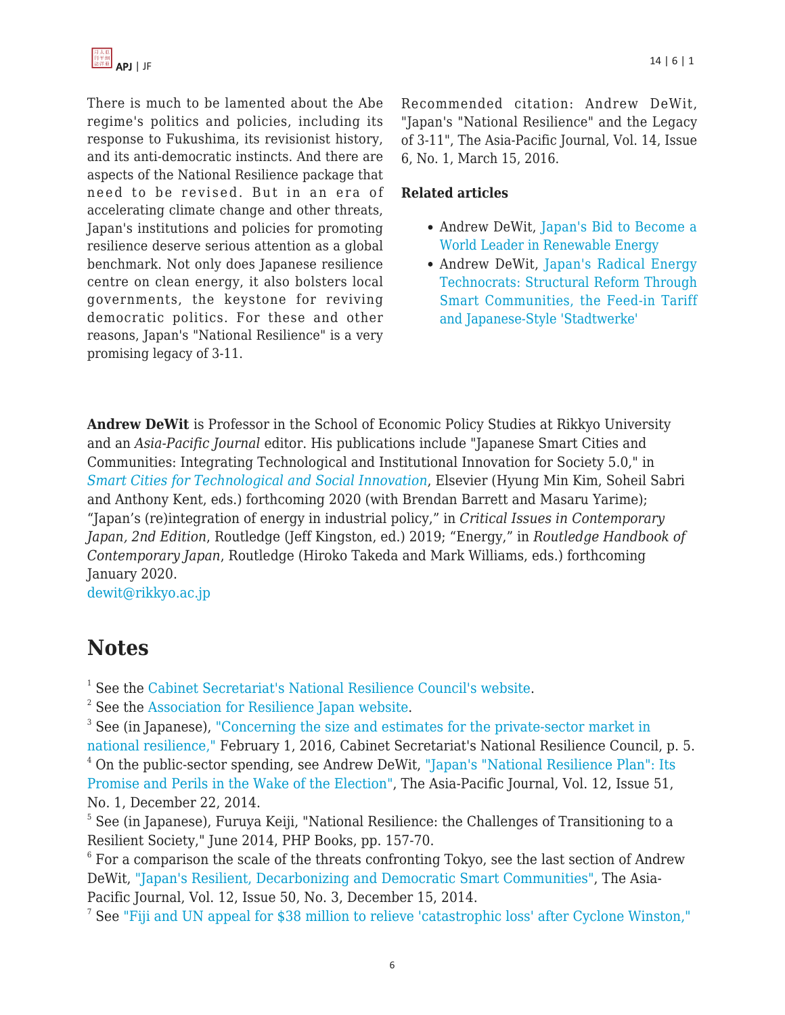

There is much to be lamented about the Abe regime's politics and policies, including its response to Fukushima, its revisionist history, and its anti-democratic instincts. And there are aspects of the National Resilience package that need to be revised. But in an era of accelerating climate change and other threats, Japan's institutions and policies for promoting resilience deserve serious attention as a global benchmark. Not only does Japanese resilience centre on clean energy, it also bolsters local governments, the keystone for reviving democratic politics. For these and other reasons, Japan's "National Resilience" is a very promising legacy of 3-11.

Recommended citation: Andrew DeWit, "Japan's "National Resilience" and the Legacy of 3-11", The Asia-Pacific Journal, Vol. 14, Issue 6, No. 1, March 15, 2016.

#### **Related articles**

- Andrew DeWit, [Japan's Bid to Become a](https://apjjf.org/-Andrew-DeWit/4385) [World Leader in Renewable Energy](https://apjjf.org/-Andrew-DeWit/4385)
- Andrew DeWit, [Japan's Radical Energy](https://apjjf.org/2014/12/48/Andrew-DeWit/4229) [Technocrats: Structural Reform Through](https://apjjf.org/2014/12/48/Andrew-DeWit/4229) [Smart Communities, the Feed-in Tariff](https://apjjf.org/2014/12/48/Andrew-DeWit/4229) [and Japanese-Style 'Stadtwerke'](https://apjjf.org/2014/12/48/Andrew-DeWit/4229)

**Andrew DeWit** is Professor in the School of Economic Policy Studies at Rikkyo University and an *Asia-Pacific Journal* editor. His publications include "Japanese Smart Cities and Communities: Integrating Technological and Institutional Innovation for Society 5.0," in *[Smart Cities for Technological and Social Innovation](https://www.amazon.com/Smart-Cities-Technological-Social-Innovation/dp/0128188863/?tag=theasipacjo0b-20)*, Elsevier (Hyung Min Kim, Soheil Sabri and Anthony Kent, eds.) forthcoming 2020 (with Brendan Barrett and Masaru Yarime); "Japan's (re)integration of energy in industrial policy," in *Critical Issues in Contemporary Japan, 2nd Edition*, Routledge (Jeff Kingston, ed.) 2019; "Energy," in *Routledge Handbook of Contemporary Japan*, Routledge (Hiroko Takeda and Mark Williams, eds.) forthcoming January 2020.

[dewit@rikkyo.ac.jp](https://apjjf.org/mailto:dewit@rikkyo.ac.jp)

## **Notes**

<sup>1</sup> See the [Cabinet Secretariat's National Resilience Council's website.](http://www.cas.go.jp/jp/seisaku/resilience/)

 $2^2$  See the [Association for Resilience Japan website.](http://www.resilience-jp.org)

<sup>3</sup> See (in Japanese), ["Concerning the size and estimates for the private-sector market in](http://www.cas.go.jp/jp/seisaku/resilience/dai24/siryo2-3.pdf) [national resilience,"](http://www.cas.go.jp/jp/seisaku/resilience/dai24/siryo2-3.pdf) February 1, 2016, Cabinet Secretariat's National Resilience Council, p. 5. <sup>4</sup> On the public-sector spending, see Andrew DeWit, ["Japan's "National Resilience Plan": Its](http://apjjf.org/2014/12/51/Andrew-DeWit/4240.html) [Promise and Perils in the Wake of the Election",](http://apjjf.org/2014/12/51/Andrew-DeWit/4240.html) The Asia-Pacific Journal, Vol. 12, Issue 51, No. 1, December 22, 2014.

 $^5$  See (in Japanese), Furuya Keiji, "National Resilience: the Challenges of Transitioning to a Resilient Society," June 2014, PHP Books, pp. 157-70.

 $^6$  For a comparison the scale of the threats confronting Tokyo, see the last section of Andrew DeWit, ["Japan's Resilient, Decarbonizing and Democratic Smart Communities"](http://apjjf.org/2014/12/50/Andrew-DeWit/4236.html), The Asia-Pacific Journal, Vol. 12, Issue 50, No. 3, December 15, 2014.

<sup>7</sup> See ["Fiji and UN appeal for \\$38 million to relieve 'catastrophic loss' after Cyclone Winston,"](http://www.un.org/apps/news/story.asp?NewsID=53369#.VuBQ28d9YxY)